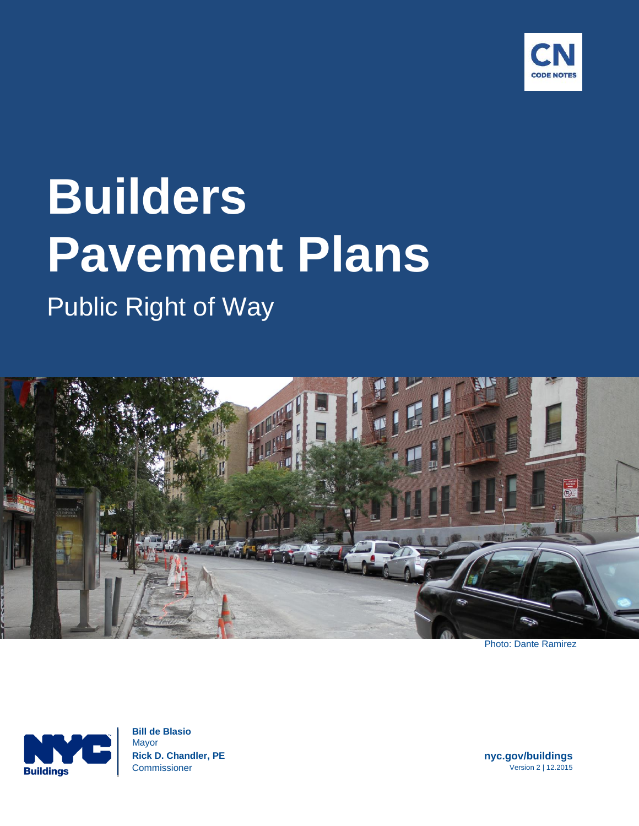

# **Builders Pavement Plans** Public Right of Way



Photo: Dante Ramirez



 **Bill de Blasio** Mayor  **Rick D. Chandler, PE nyc.gov/buildings Commissioner Version 2 | 12.2015**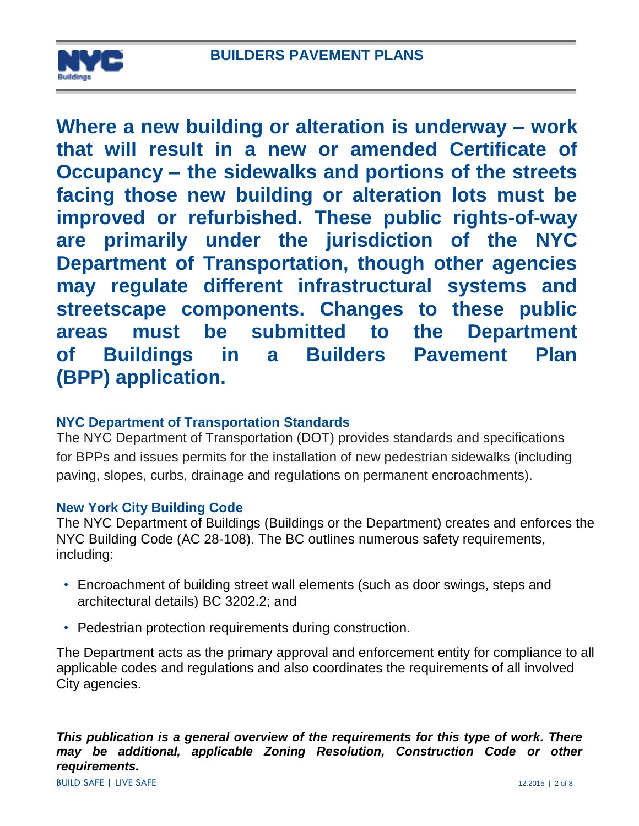

**Where a new building or alteration is underway – work that will result in a new or amended Certificate of Occupancy – the sidewalks and portions of the streets facing those new building or alteration lots must be improved or refurbished. These public rights-of-way are primarily under the jurisdiction of the NYC Department of Transportation, though other agencies may regulate different infrastructural systems and streetscape components. Changes to these public areas must be submitted to the Department of Buildings in a Builders Pavement Plan (BPP) application.** 

## **NYC Department of Transportation Standards**

The NYC Department of Transportation (DOT) provides standards and specifications for BPPs and issues permits for the installation of new pedestrian sidewalks (including paving, slopes, curbs, drainage and regulations on permanent encroachments).

## **New York City Building Code**

The NYC Department of Buildings (Buildings or the Department) creates and enforces the NYC Building Code (AC 28-108). The BC outlines numerous safety requirements, including:

- Encroachment of building street wall elements (such as door swings, steps and architectural details) BC 3202.2; and
- Pedestrian protection requirements during construction.

The Department acts as the primary approval and enforcement entity for compliance to all applicable codes and regulations and also coordinates the requirements of all involved City agencies.

*This publication is a general overview of the requirements for this type of work. There may be additional, applicable Zoning Resolution, Construction Code or other requirements.*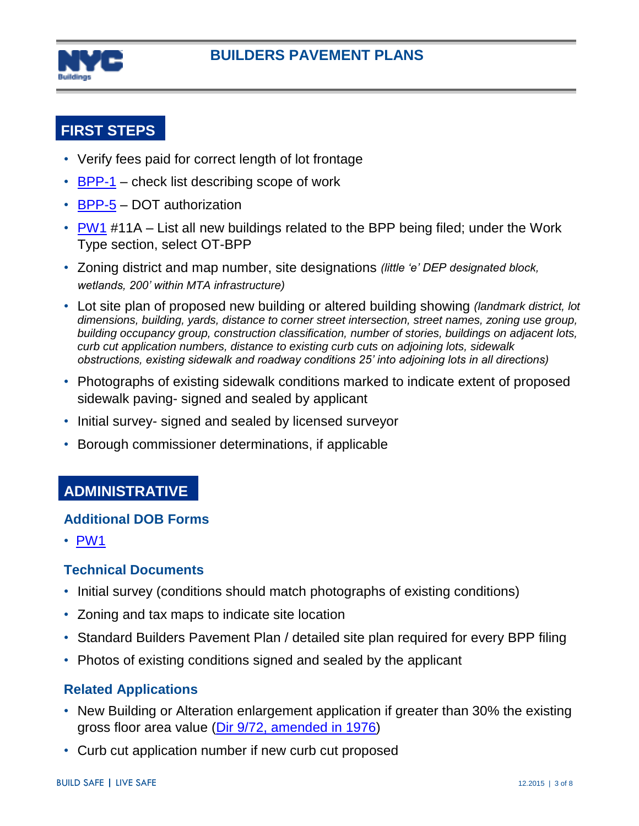

# **FIRST STEPS**

- Verify fees paid for correct length of lot frontage
- $\cdot$  [BPP-1](http://www1.nyc.gov/assets/buildings/pdf/bpp1.pdf) check list describing scope of work
- [BPP-5](http://www1.nyc.gov/assets/buildings/pdf/bpp5.pdf) DOT authorization
- [PW1](http://www1.nyc.gov/assets/buildings/pdf/pw1_new.pdf) #11A List all new buildings related to the BPP being filed; under the Work Type section, select OT-BPP
- Zoning district and map number, site designations *(little 'e' DEP designated block, wetlands, 200' within MTA infrastructure)*
- Lot site plan of proposed new building or altered building showing *(landmark district, lot dimensions, building, yards, distance to corner street intersection, street names, zoning use group, building occupancy group, construction classification, number of stories, buildings on adjacent lots, curb cut application numbers, distance to existing curb cuts on adjoining lots, sidewalk obstructions, existing sidewalk and roadway conditions 25' into adjoining lots in all directions)*
- Photographs of existing sidewalk conditions marked to indicate extent of proposed sidewalk paving- signed and sealed by applicant
- Initial survey- signed and sealed by licensed surveyor
- Borough commissioner determinations, if applicable

## **ADMINISTRATIVE**

#### **Additional DOB Forms**

• [PW1](http://www1.nyc.gov/assets/buildings/pdf/pw1_new.pdf)

## **Technical Documents**

- Initial survey (conditions should match photographs of existing conditions)
- Zoning and tax maps to indicate site location
- Standard Builders Pavement Plan / detailed site plan required for every BPP filing
- Photos of existing conditions signed and sealed by the applicant

## **Related Applications**

- New Building or Alteration enlargement application if greater than 30% the existing gross floor area value [\(Dir 9/72, amended in 1976\)](http://www1.nyc.gov/assets/buildings/pdf/sl7.pdf)
- Curb cut application number if new curb cut proposed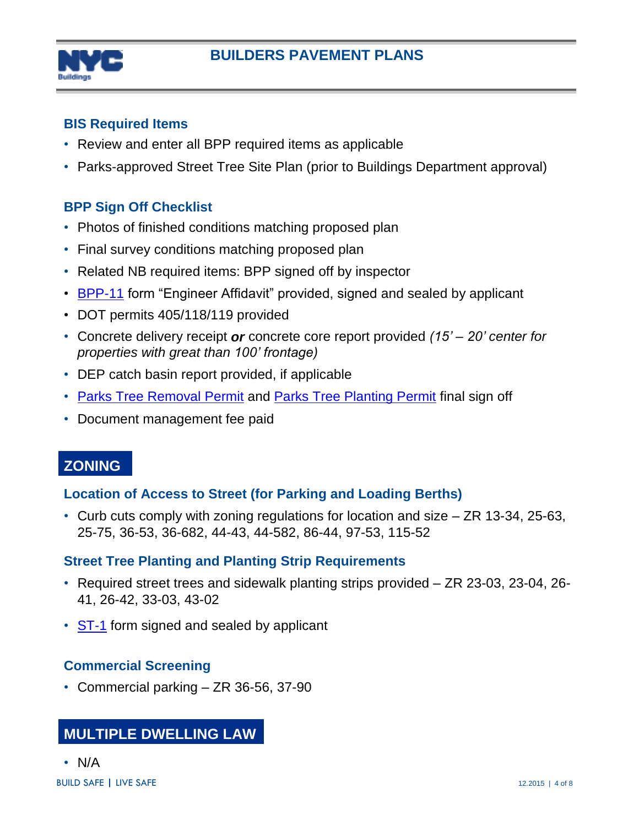

## **BIS Required Items**

- Review and enter all BPP required items as applicable
- Parks-approved Street Tree Site Plan (prior to Buildings Department approval)

## **BPP Sign Off Checklist**

- Photos of finished conditions matching proposed plan
- Final survey conditions matching proposed plan
- Related NB required items: BPP signed off by inspector
- [BPP-11](http://www1.nyc.gov/assets/buildings/pdf/bpp11.pdf) form "Engineer Affidavit" provided, signed and sealed by applicant
- DOT permits 405/118/119 provided
- Concrete delivery receipt *or* concrete core report provided *(15' – 20' center for properties with great than 100' frontage)*
- DEP catch basin report provided, if applicable
- [Parks Tree Removal Permit](http://www.nycgovparks.org/services/forestry/tree-work-permit) and [Parks Tree Planting Permit](http://www.nycgovparks.org/services/forestry/tree-work-permit) final sign off
- Document management fee paid

# **[ZONING](http://www.nyc.gov/html/dcp/html/zone/zonetext.shtml)**

## **Location of Access to Street (for Parking and Loading Berths)**

• Curb cuts comply with zoning regulations for location and size – ZR 13-34, 25-63, 25-75, 36-53, 36-682, 44-43, 44-582, 86-44, 97-53, 115-52

## **Street Tree Planting and Planting Strip Requirements**

- Required street trees and sidewalk planting strips provided ZR 23-03, 23-04, 26- 41, 26-42, 33-03, 43-02
- [ST-1](http://www1.nyc.gov/assets/buildings/pdf/st1_form.pdf) form signed and sealed by applicant

## **Commercial Screening**

• Commercial parking – ZR 36-56, 37-90

# **[MULTIPLE DWELLING LAW](http://public.leginfo.state.ny.us/lawssrch.cgi?NVLWO:)**

• N/A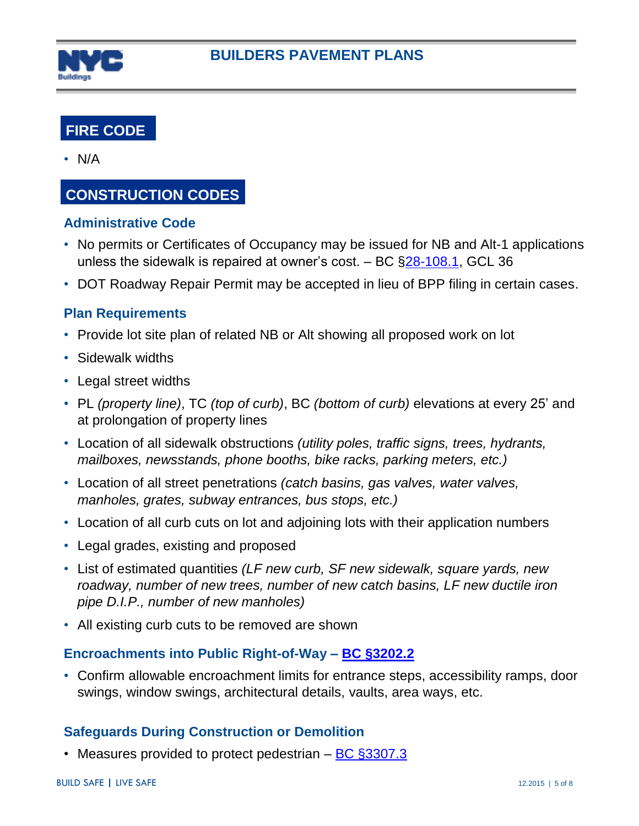

# **[FIRE CODE](http://www.nyc.gov/html/fdny/html/firecode/index.shtml)**

• N/A

# **CONSTRUCTION CODES**

### **Administrative Code**

- No permits or Certificates of Occupancy may be issued for NB and Alt-1 applications unless the sidewalk is repaired at owner's cost.  $-$  BC  $\S28-108.1$ , GCL 36
- DOT Roadway Repair Permit may be accepted in lieu of BPP filing in certain cases.

## **Plan Requirements**

- Provide lot site plan of related NB or Alt showing all proposed work on lot
- Sidewalk widths
- Legal street widths
- PL *(property line)*, TC *(top of curb)*, BC *(bottom of curb)* elevations at every 25' and at prolongation of property lines
- Location of all sidewalk obstructions *(utility poles, traffic signs, trees, hydrants, mailboxes, newsstands, phone booths, bike racks, parking meters, etc.)*
- Location of all street penetrations *(catch basins, gas valves, water valves, manholes, grates, subway entrances, bus stops, etc.)*
- Location of all curb cuts on lot and adjoining lots with their application numbers
- Legal grades, existing and proposed
- List of estimated quantities *(LF new curb, SF new sidewalk, square yards, new roadway, number of new trees, number of new catch basins, LF new ductile iron pipe D.I.P., number of new manholes)*
- All existing curb cuts to be removed are shown

#### **Encroachments into Public Right-of-Way – [BC §3202.2](http://www1.nyc.gov/assets/buildings/apps/pdf_viewer/viewer.html?file=2014CC_BC_Chapter_32_Encroachments_into_the_Pulic_Right_of_Way.pdf§ion=conscode_2014http://www.nyc.gov/html/dob/apps/pdf_viewer/viewer.html?file=2014CC_BC_Chapter_32_Encroachments_into_the_Pulic_Right_of_Way.pdf§ion=conscode_2014#nameddest=SECTION_3202)**

• Confirm allowable encroachment limits for entrance steps, accessibility ramps, door swings, window swings, architectural details, vaults, area ways, etc.

## **Safeguards During Construction or Demolition**

• Measures provided to protect pedestrian – [BC §3307.3](http://www1.nyc.gov/assets/buildings/apps/pdf_viewer/viewer.html?file=2014CC_BC_Chapter_33_Safeguards_During_Construction_or_Demo.pdf§ion=conscode_2014#nameddest=SECTION_3307)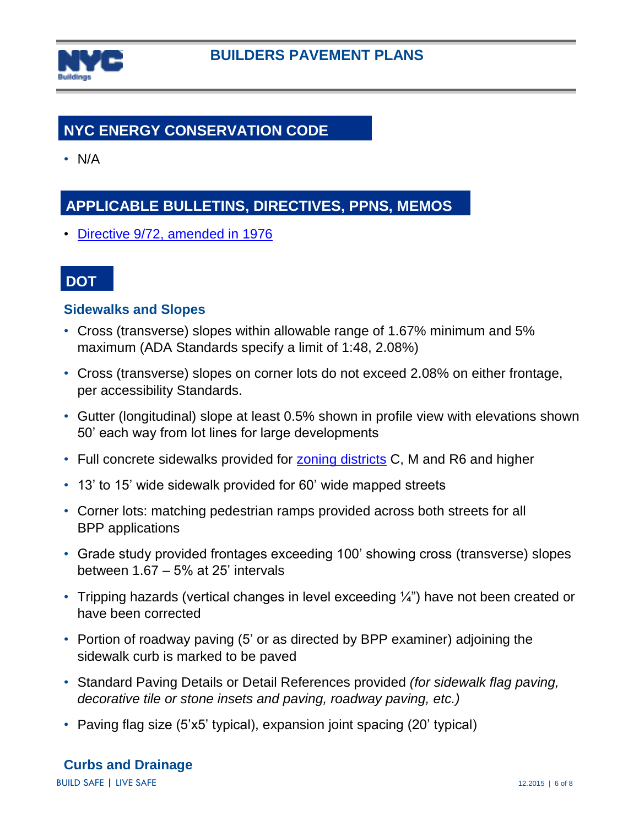

# **[NYC ENERGY CONSERVATION CODE](http://www.nyc.gov/html/dob/html/codes_and_reference_materials/nycecc_main.shtml)**

• N/A

# **APPLICABLE BULLETINS, DIRECTIVES, PPNS, MEMOS**

• Directive [9/72, amended in 1976](http://www1.nyc.gov/assets/buildings/pdf/sl7.pdf)

## **DOT**

### **Sidewalks and Slopes**

- Cross (transverse) slopes within allowable range of 1.67% minimum and 5% maximum (ADA Standards specify a limit of 1:48, 2.08%)
- Cross (transverse) slopes on corner lots do not exceed 2.08% on either frontage, per accessibility Standards.
- Gutter (longitudinal) slope at least 0.5% shown in profile view with elevations shown 50' each way from lot lines for large developments
- Full concrete sidewalks provided for [zoning districts](http://www.nyc.gov/html/dcp/pdf/zone/art01c01.pdf?r=072315) C, M and R6 and higher
- 13' to 15' wide sidewalk provided for 60' wide mapped streets
- Corner lots: matching pedestrian ramps provided across both streets for all BPP applications
- Grade study provided frontages exceeding 100' showing cross (transverse) slopes between 1.67 – 5% at 25' intervals
- Tripping hazards (vertical changes in level exceeding  $\frac{1}{4}$ ") have not been created or have been corrected
- Portion of roadway paving (5' or as directed by BPP examiner) adjoining the sidewalk curb is marked to be paved
- Standard Paving Details or Detail References provided *(for sidewalk flag paving, decorative tile or stone insets and paving, roadway paving, etc.)*
- Paving flag size (5'x5' typical), expansion joint spacing (20' typical)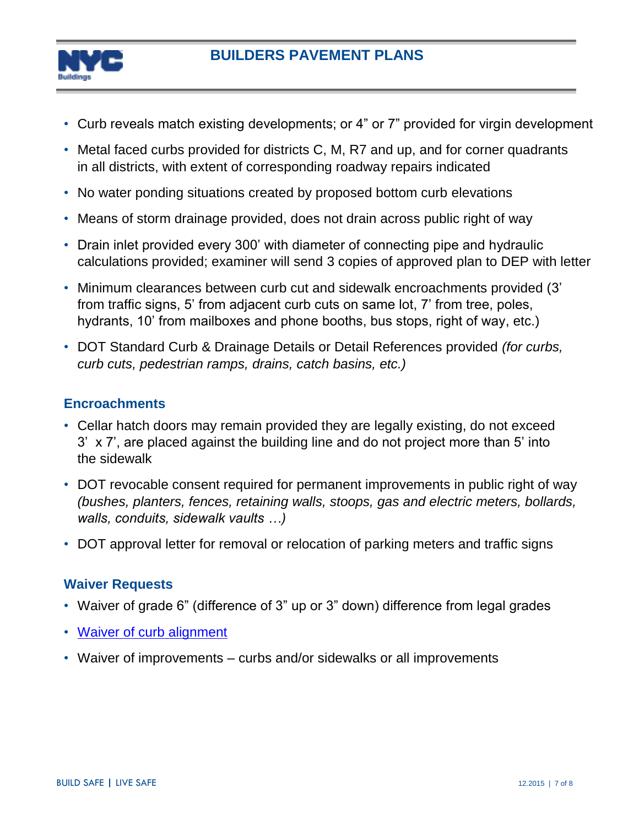

## **BUILDERS PAVEMENT PLANS**

- Curb reveals match existing developments; or 4" or 7" provided for virgin development
- Metal faced curbs provided for districts C, M, R7 and up, and for corner quadrants in all districts, with extent of corresponding roadway repairs indicated
- No water ponding situations created by proposed bottom curb elevations
- Means of storm drainage provided, does not drain across public right of way
- Drain inlet provided every 300' with diameter of connecting pipe and hydraulic calculations provided; examiner will send 3 copies of approved plan to DEP with letter
- Minimum clearances between curb cut and sidewalk encroachments provided (3' from traffic signs, 5' from adjacent curb cuts on same lot, 7' from tree, poles, hydrants, 10' from mailboxes and phone booths, bus stops, right of way, etc.)
- DOT Standard Curb & Drainage Details or Detail References provided *(for curbs, curb cuts, pedestrian ramps, drains, catch basins, etc.)*

## **Encroachments**

- Cellar hatch doors may remain provided they are legally existing, do not exceed 3' x 7', are placed against the building line and do not project more than 5' into the sidewalk
- DOT revocable consent required for permanent improvements in public right of way *(bushes, planters, fences, retaining walls, stoops, gas and electric meters, bollards, walls, conduits, sidewalk vaults …)*
- DOT approval letter for removal or relocation of parking meters and traffic signs

## **Waiver Requests**

- Waiver of grade 6" (difference of 3" up or 3" down) difference from legal grades
- [Waiver of curb alignment](http://www1.nyc.gov/assets/buildings/pdf/bpp16.pdf)
- Waiver of improvements curbs and/or sidewalks or all improvements